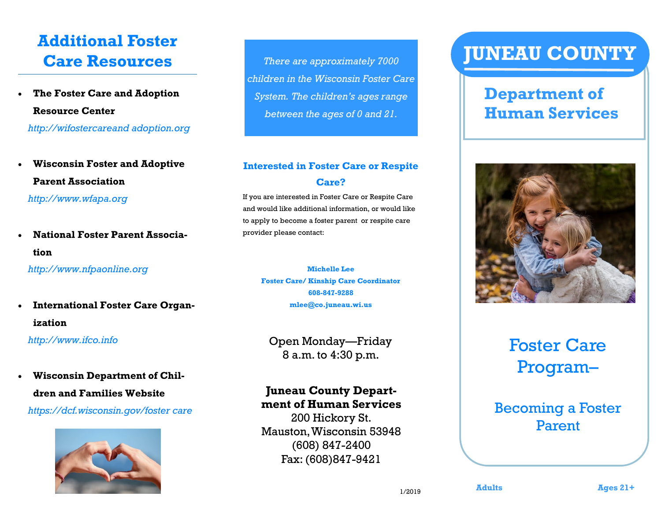## **Additional Foster Care Resources**

- **The Foster Care and Adoption Resource Center**  *http://wifostercareand adoption.org*
- **Wisconsin Foster and Adoptive Parent Association**  *http://www.wfapa.org*
- **National Foster Parent Association**

 *http://www.nfpaonline.org*

 **International Foster Care Organization**

 *http://www.ifco.info*

### **Wisconsin Department of Children and Families Website**

*https://dcf.wisconsin.gov/foster care*



*There are approximately 7000 children in the Wisconsin Foster Care System. The children's ages range between the ages of 0 and 21.* 

### **Interested in Foster Care or Respite Care?**

If you are interested in Foster Care or Respite Care and would like additional information, or would like to apply to become a foster parent or respite care provider please contact:

**Michelle Lee Foster Care/ Kinship Care Coordinator 608-847-9288 mlee@co.juneau.wi.us**

Open Monday—Friday 8 a.m. to 4:30 p.m.

### **Juneau County Department of Human Services**

200 Hickory St. Mauston, Wisconsin 53948 (608) 847-2400 Fax: (608)847-9421

# **JUNEAU COUNTY**

### **Department of Human Services**



## Foster Care Program–

### Becoming a Foster Parent